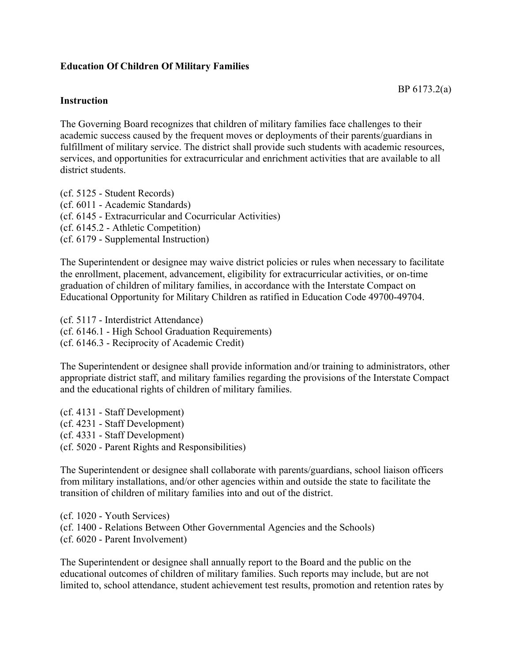## **Education Of Children Of Military Families**

## **Instruction**

The Governing Board recognizes that children of military families face challenges to their academic success caused by the frequent moves or deployments of their parents/guardians in fulfillment of military service. The district shall provide such students with academic resources, services, and opportunities for extracurricular and enrichment activities that are available to all district students.

(cf. 5125 - Student Records) (cf. 6011 - Academic Standards) (cf. 6145 - Extracurricular and Cocurricular Activities) (cf. 6145.2 - Athletic Competition) (cf. 6179 - Supplemental Instruction)

The Superintendent or designee may waive district policies or rules when necessary to facilitate the enrollment, placement, advancement, eligibility for extracurricular activities, or on-time graduation of children of military families, in accordance with the Interstate Compact on Educational Opportunity for Military Children as ratified in Education Code 49700-49704.

(cf. 5117 - Interdistrict Attendance) (cf. 6146.1 - High School Graduation Requirements) (cf. 6146.3 - Reciprocity of Academic Credit)

The Superintendent or designee shall provide information and/or training to administrators, other appropriate district staff, and military families regarding the provisions of the Interstate Compact and the educational rights of children of military families.

(cf. 4131 - Staff Development) (cf. 4231 - Staff Development) (cf. 4331 - Staff Development) (cf. 5020 - Parent Rights and Responsibilities)

The Superintendent or designee shall collaborate with parents/guardians, school liaison officers from military installations, and/or other agencies within and outside the state to facilitate the transition of children of military families into and out of the district.

(cf. 1020 - Youth Services) (cf. 1400 - Relations Between Other Governmental Agencies and the Schools) (cf. 6020 - Parent Involvement)

The Superintendent or designee shall annually report to the Board and the public on the educational outcomes of children of military families. Such reports may include, but are not limited to, school attendance, student achievement test results, promotion and retention rates by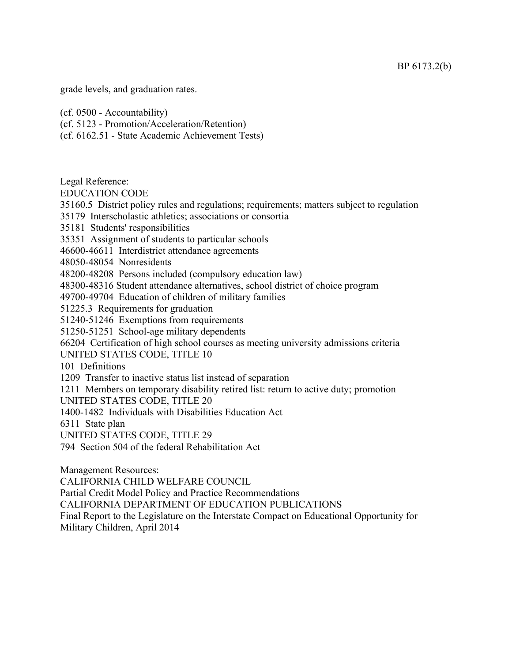grade levels, and graduation rates.

(cf. 0500 - Accountability)

(cf. 5123 - Promotion/Acceleration/Retention)

(cf. 6162.51 - State Academic Achievement Tests)

Legal Reference:

EDUCATION CODE

35160.5 District policy rules and regulations; requirements; matters subject to regulation

35179 Interscholastic athletics; associations or consortia

35181 Students' responsibilities

35351 Assignment of students to particular schools

46600-46611 Interdistrict attendance agreements

48050-48054 Nonresidents

48200-48208 Persons included (compulsory education law)

48300-48316 Student attendance alternatives, school district of choice program

49700-49704 Education of children of military families

51225.3 Requirements for graduation

51240-51246 Exemptions from requirements

51250-51251 School-age military dependents

66204 Certification of high school courses as meeting university admissions criteria

UNITED STATES CODE, TITLE 10

101 Definitions

1209 Transfer to inactive status list instead of separation

1211 Members on temporary disability retired list: return to active duty; promotion

UNITED STATES CODE, TITLE 20

1400-1482 Individuals with Disabilities Education Act

6311 State plan

UNITED STATES CODE, TITLE 29

794 Section 504 of the federal Rehabilitation Act

Management Resources:

CALIFORNIA CHILD WELFARE COUNCIL

Partial Credit Model Policy and Practice Recommendations

CALIFORNIA DEPARTMENT OF EDUCATION PUBLICATIONS

Final Report to the Legislature on the Interstate Compact on Educational Opportunity for Military Children, April 2014